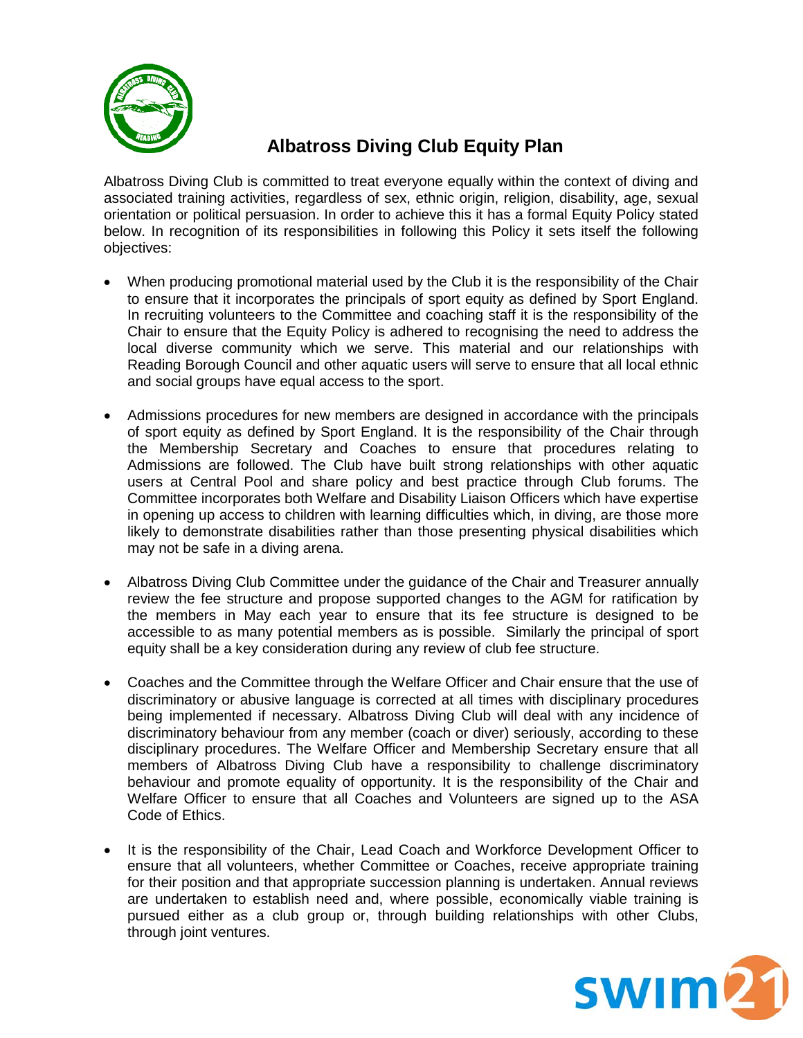

# **Albatross Diving Club Equity Plan**

Albatross Diving Club is committed to treat everyone equally within the context of diving and associated training activities, regardless of sex, ethnic origin, religion, disability, age, sexual orientation or political persuasion. In order to achieve this it has a formal Equity Policy stated below. In recognition of its responsibilities in following this Policy it sets itself the following objectives:

- When producing promotional material used by the Club it is the responsibility of the Chair to ensure that it incorporates the principals of sport equity as defined by Sport England. In recruiting volunteers to the Committee and coaching staff it is the responsibility of the Chair to ensure that the Equity Policy is adhered to recognising the need to address the local diverse community which we serve. This material and our relationships with Reading Borough Council and other aquatic users will serve to ensure that all local ethnic and social groups have equal access to the sport.
- Admissions procedures for new members are designed in accordance with the principals of sport equity as defined by Sport England. It is the responsibility of the Chair through the Membership Secretary and Coaches to ensure that procedures relating to Admissions are followed. The Club have built strong relationships with other aquatic users at Central Pool and share policy and best practice through Club forums. The Committee incorporates both Welfare and Disability Liaison Officers which have expertise in opening up access to children with learning difficulties which, in diving, are those more likely to demonstrate disabilities rather than those presenting physical disabilities which may not be safe in a diving arena.
- Albatross Diving Club Committee under the guidance of the Chair and Treasurer annually review the fee structure and propose supported changes to the AGM for ratification by the members in May each year to ensure that its fee structure is designed to be accessible to as many potential members as is possible. Similarly the principal of sport equity shall be a key consideration during any review of club fee structure.
- Coaches and the Committee through the Welfare Officer and Chair ensure that the use of discriminatory or abusive language is corrected at all times with disciplinary procedures being implemented if necessary. Albatross Diving Club will deal with any incidence of discriminatory behaviour from any member (coach or diver) seriously, according to these disciplinary procedures. The Welfare Officer and Membership Secretary ensure that all members of Albatross Diving Club have a responsibility to challenge discriminatory behaviour and promote equality of opportunity. It is the responsibility of the Chair and Welfare Officer to ensure that all Coaches and Volunteers are signed up to the ASA Code of Ethics.
- It is the responsibility of the Chair, Lead Coach and Workforce Development Officer to ensure that all volunteers, whether Committee or Coaches, receive appropriate training for their position and that appropriate succession planning is undertaken. Annual reviews are undertaken to establish need and, where possible, economically viable training is pursued either as a club group or, through building relationships with other Clubs, through joint ventures.

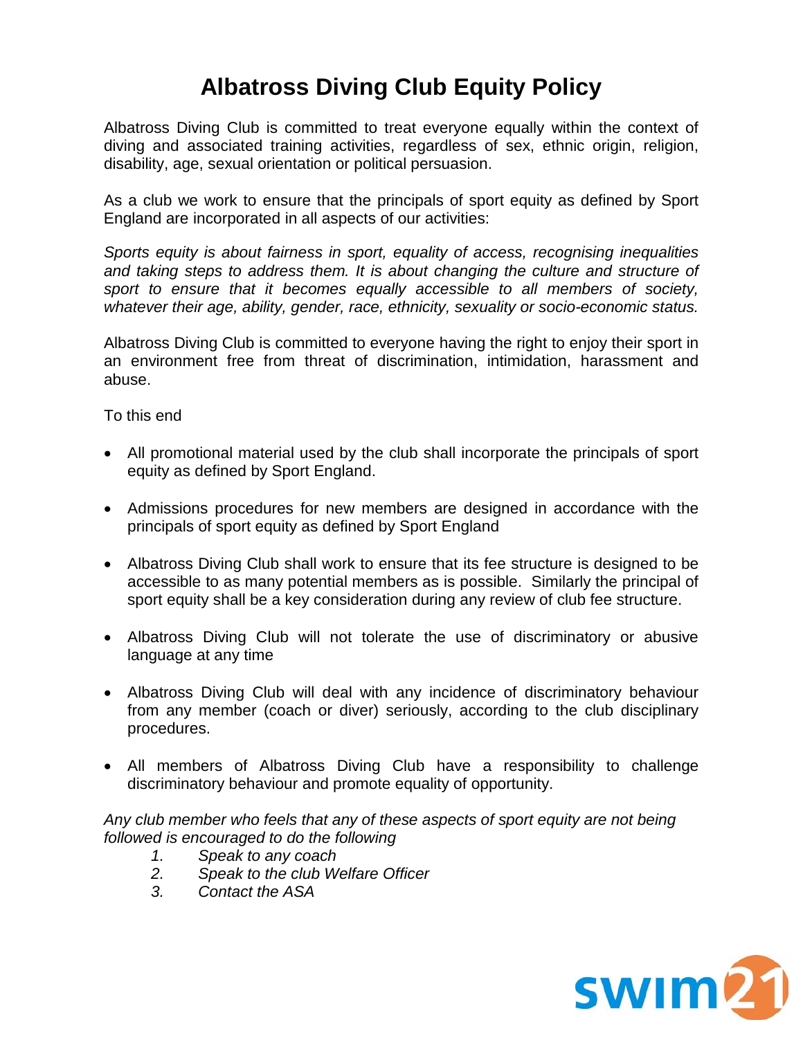# **Albatross Diving Club Equity Policy**

Albatross Diving Club is committed to treat everyone equally within the context of diving and associated training activities, regardless of sex, ethnic origin, religion, disability, age, sexual orientation or political persuasion.

As a club we work to ensure that the principals of sport equity as defined by Sport England are incorporated in all aspects of our activities:

*Sports equity is about fairness in sport, equality of access, recognising inequalities and taking steps to address them. It is about changing the culture and structure of sport to ensure that it becomes equally accessible to all members of society, whatever their age, ability, gender, race, ethnicity, sexuality or socio-economic status.*

Albatross Diving Club is committed to everyone having the right to enjoy their sport in an environment free from threat of discrimination, intimidation, harassment and abuse.

To this end

- All promotional material used by the club shall incorporate the principals of sport equity as defined by Sport England.
- Admissions procedures for new members are designed in accordance with the principals of sport equity as defined by Sport England
- Albatross Diving Club shall work to ensure that its fee structure is designed to be accessible to as many potential members as is possible. Similarly the principal of sport equity shall be a key consideration during any review of club fee structure.
- Albatross Diving Club will not tolerate the use of discriminatory or abusive language at any time
- Albatross Diving Club will deal with any incidence of discriminatory behaviour from any member (coach or diver) seriously, according to the club disciplinary procedures.
- All members of Albatross Diving Club have a responsibility to challenge discriminatory behaviour and promote equality of opportunity.

*Any club member who feels that any of these aspects of sport equity are not being followed is encouraged to do the following*

- *1. Speak to any coach*
- *2. Speak to the club Welfare Officer*
- *3. Contact the ASA*

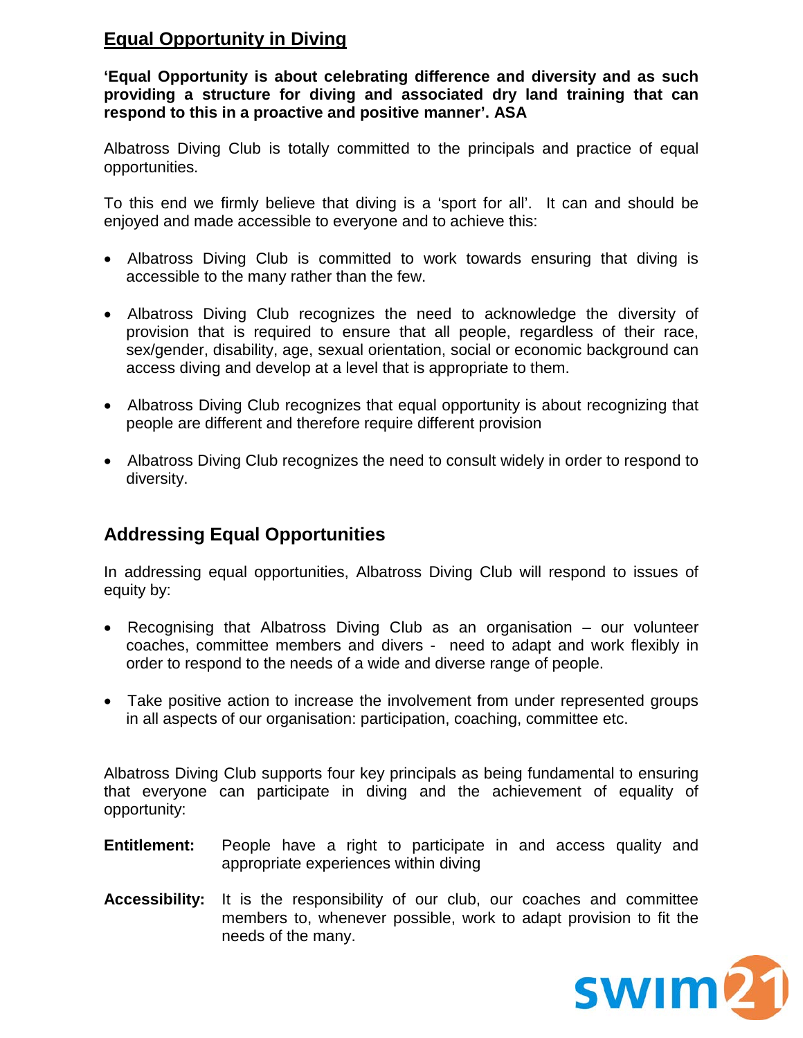### **Equal Opportunity in Diving**

**'Equal Opportunity is about celebrating difference and diversity and as such providing a structure for diving and associated dry land training that can respond to this in a proactive and positive manner'. ASA**

Albatross Diving Club is totally committed to the principals and practice of equal opportunities.

To this end we firmly believe that diving is a 'sport for all'. It can and should be enjoyed and made accessible to everyone and to achieve this:

- Albatross Diving Club is committed to work towards ensuring that diving is accessible to the many rather than the few.
- Albatross Diving Club recognizes the need to acknowledge the diversity of provision that is required to ensure that all people, regardless of their race, sex/gender, disability, age, sexual orientation, social or economic background can access diving and develop at a level that is appropriate to them.
- Albatross Diving Club recognizes that equal opportunity is about recognizing that people are different and therefore require different provision
- Albatross Diving Club recognizes the need to consult widely in order to respond to diversity.

### **Addressing Equal Opportunities**

In addressing equal opportunities, Albatross Diving Club will respond to issues of equity by:

- Recognising that Albatross Diving Club as an organisation our volunteer coaches, committee members and divers - need to adapt and work flexibly in order to respond to the needs of a wide and diverse range of people.
- Take positive action to increase the involvement from under represented groups in all aspects of our organisation: participation, coaching, committee etc.

Albatross Diving Club supports four key principals as being fundamental to ensuring that everyone can participate in diving and the achievement of equality of opportunity:

- **Entitlement:** People have a right to participate in and access quality and appropriate experiences within diving
- **Accessibility:** It is the responsibility of our club, our coaches and committee members to, whenever possible, work to adapt provision to fit the needs of the many.

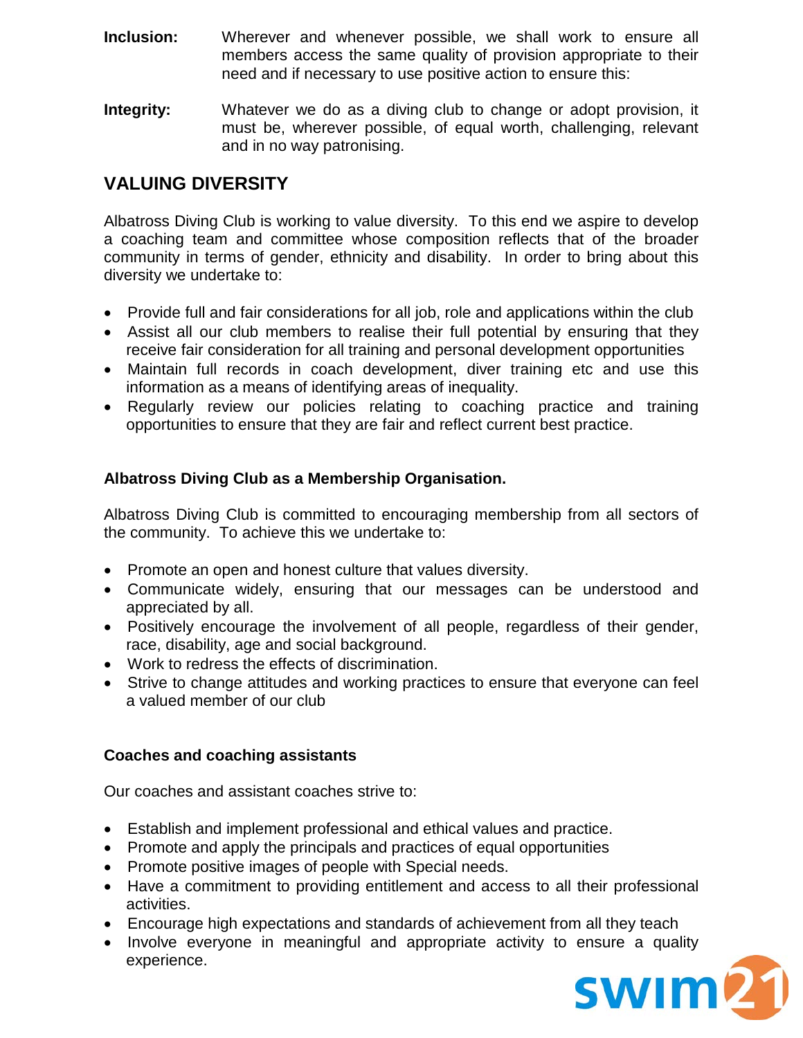- **Inclusion:** Wherever and whenever possible, we shall work to ensure all members access the same quality of provision appropriate to their need and if necessary to use positive action to ensure this:
- **Integrity:** Whatever we do as a diving club to change or adopt provision, it must be, wherever possible, of equal worth, challenging, relevant and in no way patronising.

## **VALUING DIVERSITY**

Albatross Diving Club is working to value diversity. To this end we aspire to develop a coaching team and committee whose composition reflects that of the broader community in terms of gender, ethnicity and disability. In order to bring about this diversity we undertake to:

- Provide full and fair considerations for all job, role and applications within the club
- Assist all our club members to realise their full potential by ensuring that they receive fair consideration for all training and personal development opportunities
- Maintain full records in coach development, diver training etc and use this information as a means of identifying areas of inequality.
- Regularly review our policies relating to coaching practice and training opportunities to ensure that they are fair and reflect current best practice.

### **Albatross Diving Club as a Membership Organisation.**

Albatross Diving Club is committed to encouraging membership from all sectors of the community. To achieve this we undertake to:

- Promote an open and honest culture that values diversity.
- Communicate widely, ensuring that our messages can be understood and appreciated by all.
- Positively encourage the involvement of all people, regardless of their gender, race, disability, age and social background.
- Work to redress the effects of discrimination.
- Strive to change attitudes and working practices to ensure that everyone can feel a valued member of our club

#### **Coaches and coaching assistants**

Our coaches and assistant coaches strive to:

- Establish and implement professional and ethical values and practice.
- Promote and apply the principals and practices of equal opportunities
- Promote positive images of people with Special needs.
- Have a commitment to providing entitlement and access to all their professional activities.
- Encourage high expectations and standards of achievement from all they teach
- Involve everyone in meaningful and appropriate activity to ensure a quality experience.